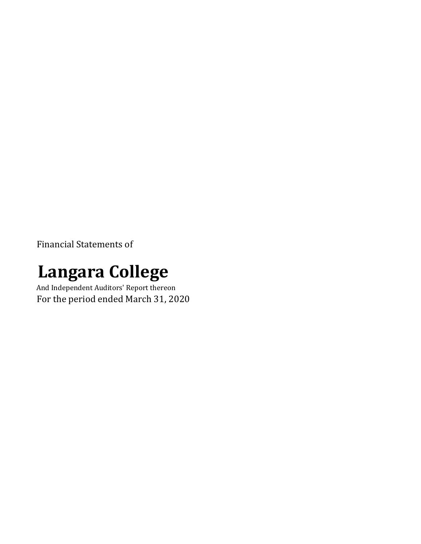Financial Statements of

# **Langara College**

And Independent Auditors' Report thereon For the period ended March 31, 2020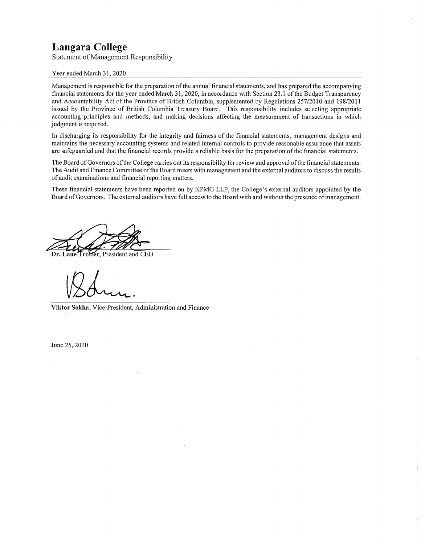**Statement of Management Responsibility** 

#### Year ended March 31, 2020

Management is responsible for the preparation of the annual financial statements, and has prepared the accompanying financial statements for the year ended March 31, 2020, in accordance with Section 23.1 of the Budget Transparency and Accountability Act of the Province of British Columbia, supplemented by Regulations 257/2010 and 198/2011 issued by the Province of British Columbia Treasury Board. This responsibility includes selecting appropriate accounting principles and methods, and making decisions affecting the measurement of transactions in which judgment is required.

In discharging its responsibility for the integrity and fairness of the financial statements, management designs and maintains the necessary accounting systems and related internal controls to provide reasonable assurance that assets are safeguarded and that the financial records provide a reliable basis for the preparation of the financial statements.

The Board of Governors of the College carries out its responsibility for review and approval of the financial statements. The Audit and Finance Committee of the Board meets with management and the external auditors to discuss the results of audit examinations and financial reporting matters.

These financial statements have been reported on by KPMG LLP, the College's external auditors appointed by the Board of Governors. The external auditors have full access to the Board with and without the presence of management.

**Frotter**, President and CEO

Viktor Sokha, Vice-President, Administration and Finance

June 25, 2020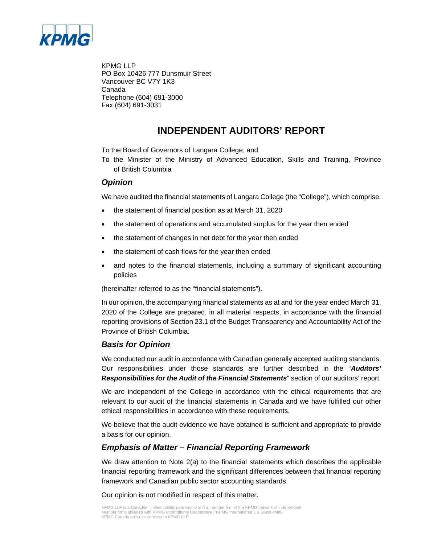

KPMG LLP PO Box 10426 777 Dunsmuir Street Vancouver BC V7Y 1K3 Canada Telephone (604) 691-3000 Fax (604) 691-3031

### **INDEPENDENT AUDITORS' REPORT**

To the Board of Governors of Langara College, and

To the Minister of the Ministry of Advanced Education, Skills and Training, Province of British Columbia

#### *Opinion*

We have audited the financial statements of Langara College (the "College"), which comprise:

- the statement of financial position as at March 31, 2020
- the statement of operations and accumulated surplus for the year then ended
- the statement of changes in net debt for the year then ended
- the statement of cash flows for the year then ended
- and notes to the financial statements, including a summary of significant accounting policies

(hereinafter referred to as the "financial statements").

In our opinion, the accompanying financial statements as at and for the year ended March 31, 2020 of the College are prepared, in all material respects, in accordance with the financial reporting provisions of Section 23.1 of the Budget Transparency and Accountability Act of the Province of British Columbia.

#### *Basis for Opinion*

We conducted our audit in accordance with Canadian generally accepted auditing standards. Our responsibilities under those standards are further described in the "*Auditors' Responsibilities for the Audit of the Financial Statements*" section of our auditors' report.

We are independent of the College in accordance with the ethical requirements that are relevant to our audit of the financial statements in Canada and we have fulfilled our other ethical responsibilities in accordance with these requirements.

We believe that the audit evidence we have obtained is sufficient and appropriate to provide a basis for our opinion.

#### *Emphasis of Matter – Financial Reporting Framework*

We draw attention to Note 2(a) to the financial statements which describes the applicable financial reporting framework and the significant differences between that financial reporting framework and Canadian public sector accounting standards.

Our opinion is not modified in respect of this matter.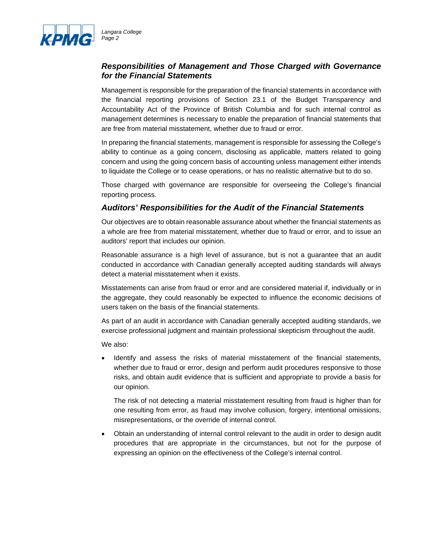

### *Responsibilities of Management and Those Charged with Governance for the Financial Statements*

Management is responsible for the preparation of the financial statements in accordance with the financial reporting provisions of Section 23.1 of the Budget Transparency and Accountability Act of the Province of British Columbia and for such internal control as management determines is necessary to enable the preparation of financial statements that are free from material misstatement, whether due to fraud or error.

In preparing the financial statements, management is responsible for assessing the College's ability to continue as a going concern, disclosing as applicable, matters related to going concern and using the going concern basis of accounting unless management either intends to liquidate the College or to cease operations, or has no realistic alternative but to do so.

Those charged with governance are responsible for overseeing the College's financial reporting process.

### *Auditors' Responsibilities for the Audit of the Financial Statements*

Our objectives are to obtain reasonable assurance about whether the financial statements as a whole are free from material misstatement, whether due to fraud or error, and to issue an auditors' report that includes our opinion.

Reasonable assurance is a high level of assurance, but is not a guarantee that an audit conducted in accordance with Canadian generally accepted auditing standards will always detect a material misstatement when it exists.

Misstatements can arise from fraud or error and are considered material if, individually or in the aggregate, they could reasonably be expected to influence the economic decisions of users taken on the basis of the financial statements.

As part of an audit in accordance with Canadian generally accepted auditing standards, we exercise professional judgment and maintain professional skepticism throughout the audit.

We also:

 Identify and assess the risks of material misstatement of the financial statements, whether due to fraud or error, design and perform audit procedures responsive to those risks, and obtain audit evidence that is sufficient and appropriate to provide a basis for our opinion.

The risk of not detecting a material misstatement resulting from fraud is higher than for one resulting from error, as fraud may involve collusion, forgery, intentional omissions, misrepresentations, or the override of internal control.

 Obtain an understanding of internal control relevant to the audit in order to design audit procedures that are appropriate in the circumstances, but not for the purpose of expressing an opinion on the effectiveness of the College's internal control.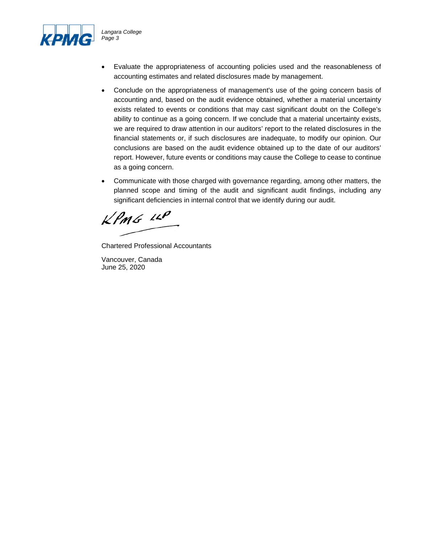

*Langara College Page 3* 

- Evaluate the appropriateness of accounting policies used and the reasonableness of accounting estimates and related disclosures made by management.
- Conclude on the appropriateness of management's use of the going concern basis of accounting and, based on the audit evidence obtained, whether a material uncertainty exists related to events or conditions that may cast significant doubt on the College's ability to continue as a going concern. If we conclude that a material uncertainty exists, we are required to draw attention in our auditors' report to the related disclosures in the financial statements or, if such disclosures are inadequate, to modify our opinion. Our conclusions are based on the audit evidence obtained up to the date of our auditors' report. However, future events or conditions may cause the College to cease to continue as a going concern.
- Communicate with those charged with governance regarding, among other matters, the planned scope and timing of the audit and significant audit findings, including any significant deficiencies in internal control that we identify during our audit.

 $k$ *PMG*  $\mu$ 

Chartered Professional Accountants

Vancouver, Canada June 25, 2020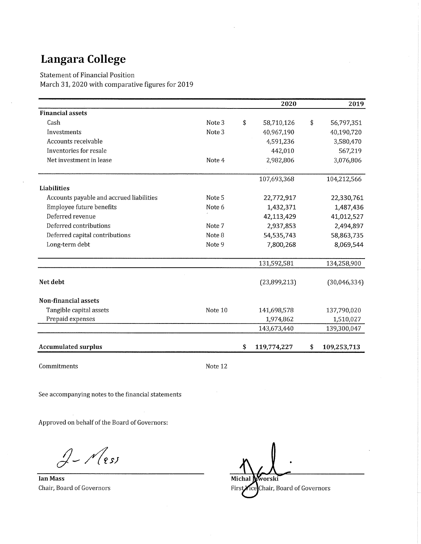$\bar{z}$ 

**Statement of Financial Position** 

March 31, 2020 with comparative figures for 2019

|                                          |         | 2020              |           | 2019         |
|------------------------------------------|---------|-------------------|-----------|--------------|
| <b>Financial assets</b>                  |         |                   |           |              |
| Cash                                     | Note 3  | \$<br>58,710,126  | \$        | 56,797,351   |
| Investments                              | Note 3  | 40,967,190        |           | 40,190,720   |
| Accounts receivable                      |         | 4,591,236         |           | 3,580,470    |
| Inventories for resale                   |         | 442,010           |           | 567,219      |
| Net investment in lease                  | Note 4  | 2,982,806         |           | 3,076,806    |
|                                          |         | 107,693,368       |           | 104,212,566  |
| Liabilities                              |         |                   |           |              |
| Accounts payable and accrued liabilities | Note 5  | 22,772,917        |           | 22,330,761   |
| Employee future benefits                 | Note 6  | 1,432,371         |           | 1,487,436    |
| Deferred revenue                         |         | 42,113,429        |           | 41,012,527   |
| Deferred contributions                   | Note 7  | 2,937,853         | 2,494,897 |              |
| Deferred capital contributions           | Note 8  | 54,535,743        |           | 58,863,735   |
| Long-term debt                           | Note 9  | 7,800,268         |           | 8,069,544    |
|                                          |         | 131,592,581       |           | 134,258,900  |
| Net debt                                 |         | (23,899,213)      |           | (30,046,334) |
| Non-financial assets                     |         |                   |           |              |
| Tangible capital assets                  | Note 10 | 141,698,578       |           | 137,790,020  |
| Prepaid expenses                         |         | 1,974,862         |           | 1,510,027    |
|                                          |         | 143,673,440       |           | 139,300,047  |
| <b>Accumulated surplus</b>               |         | \$<br>119,774,227 | \$        | 109,253,713  |

Commitments

Note 12

See accompanying notes to the financial statements

Approved on behalf of the Board of Governors:

 $2-\sqrt{e^{s}}$ 

**Ian Mass** Chair, Board of Governors

Michal worski Chair, Board of Governors First îce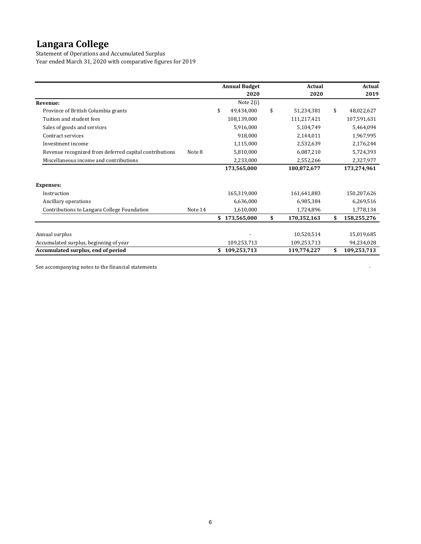Statement of Operations and Accumulated Surplus Year ended March 31, 2020 with comparative figures for 2019

|                                                        |         | <b>Annual Budget</b><br>2020 |             | <b>Actual</b><br>2020 | <b>Actual</b><br>2019 |    |             |
|--------------------------------------------------------|---------|------------------------------|-------------|-----------------------|-----------------------|----|-------------|
| Revenue:                                               |         |                              | Note $2(i)$ |                       |                       |    |             |
| Province of British Columbia grants                    |         | \$                           | 49,434,000  | \$                    | 51,234,381            | \$ | 48,022,627  |
| Tuition and student fees                               |         |                              | 108,139,000 |                       | 111,217,421           |    | 107,591,631 |
| Sales of goods and services                            |         |                              | 5,916,000   |                       | 5,104,749             |    | 5,464,094   |
| Contract services                                      |         |                              | 918,000     |                       | 2,144,011             |    | 1,967,995   |
| Investment income                                      |         |                              | 1,115,000   |                       | 2,532,639             |    | 2,176,244   |
| Revenue recognized from deferred capital contributions | Note 8  |                              | 5,810,000   |                       | 6,087,210             |    | 5,724,393   |
| Miscellaneous income and contributions                 |         |                              | 2,233,000   |                       | 2,552,266             |    | 2,327,977   |
|                                                        |         |                              | 173,565,000 |                       | 180,872,677           |    | 173,274,961 |
| <b>Expenses:</b>                                       |         |                              |             |                       |                       |    |             |
| Instruction                                            |         |                              | 165,319,000 |                       | 161,641,883           |    | 150,207,626 |
| Ancillary operations                                   |         |                              | 6,636,000   |                       | 6,985,384             |    | 6,269,516   |
| Contributions to Langara College Foundation            | Note 14 |                              | 1,610,000   |                       | 1,724,896             |    | 1,778,134   |
|                                                        |         |                              | 173,565,000 | \$                    | 170,352,163           | \$ | 158,255,276 |
| Annual surplus                                         |         |                              |             |                       | 10,520,514            |    | 15,019,685  |
| Accumulated surplus, beginning of year                 |         |                              | 109,253,713 |                       | 109,253,713           |    | 94,234,028  |
| Accumulated surplus, end of period                     |         |                              | 109,253,713 |                       | 119,774,227           | \$ | 109,253,713 |

See accompanying notes to the financial statements  $\overline{\phantom{a}}$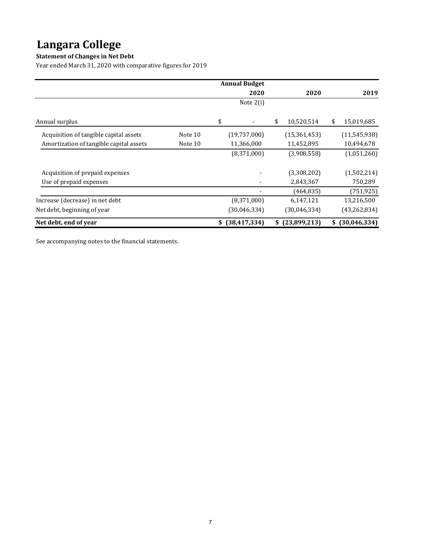### **Statement of Changes in Net Debt**

Year ended March 31, 2020 with comparative figures for 2019

|                                         |         | <b>Annual Budget</b>           |                  |    |                    |
|-----------------------------------------|---------|--------------------------------|------------------|----|--------------------|
|                                         |         | 2020                           | 2020             |    | 2019               |
|                                         |         | Note $2(i)$                    |                  |    |                    |
|                                         |         |                                |                  |    |                    |
| Annual surplus                          |         | \$<br>$\overline{\phantom{a}}$ | \$<br>10,520,514 | \$ | 15,019,685         |
| Acquisition of tangible capital assets  | Note 10 | (19,737,000)                   | (15, 361, 453)   |    | (11,545,938)       |
| Amortization of tangible capital assets | Note 10 | 11,366,000                     | 11,452,895       |    | 10,494,678         |
|                                         |         | (8,371,000)                    | (3,908,558)      |    | (1,051,260)        |
|                                         |         |                                |                  |    |                    |
| Acquisition of prepaid expenses         |         |                                | (3,308,202)      |    | (1,502,214)        |
| Use of prepaid expenses                 |         |                                | 2,843,367        |    | 750,289            |
|                                         |         |                                | (464, 835)       |    | (751, 925)         |
| Increase (decrease) in net debt         |         | (8,371,000)                    | 6,147,121        |    | 13,216,500         |
| Net debt, beginning of year             |         | (30,046,334)                   | (30,046,334)     |    | (43, 262, 834)     |
| Net debt, end of year                   |         | \$ (38,417,334)                | $$$ (23,899,213) |    | $$^{(30,046,334)}$ |

See accompanying notes to the financial statements.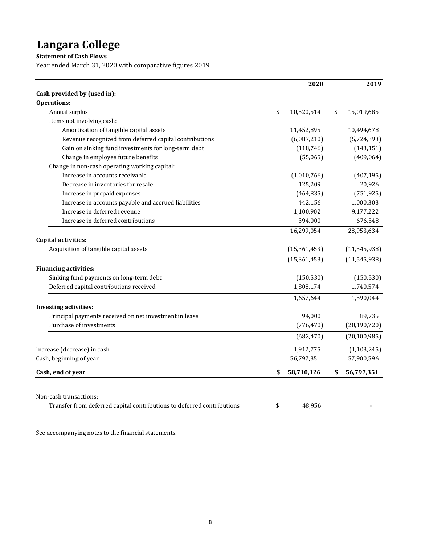**Statement of Cash Flows**

Year ended March 31, 2020 with comparative figures 2019

|                                                                        | 2020             | 2019             |
|------------------------------------------------------------------------|------------------|------------------|
| Cash provided by (used in):                                            |                  |                  |
| <b>Operations:</b>                                                     |                  |                  |
| Annual surplus                                                         | \$<br>10,520,514 | \$<br>15,019,685 |
| Items not involving cash:                                              |                  |                  |
| Amortization of tangible capital assets                                | 11,452,895       | 10,494,678       |
| Revenue recognized from deferred capital contributions                 | (6,087,210)      | (5,724,393)      |
| Gain on sinking fund investments for long-term debt                    | (118, 746)       | (143, 151)       |
| Change in employee future benefits                                     | (55,065)         | (409, 064)       |
| Change in non-cash operating working capital:                          |                  |                  |
| Increase in accounts receivable                                        | (1,010,766)      | (407, 195)       |
| Decrease in inventories for resale                                     | 125,209          | 20,926           |
| Increase in prepaid expenses                                           | (464, 835)       | (751, 925)       |
| Increase in accounts payable and accrued liabilities                   | 442,156          | 1,000,303        |
| Increase in deferred revenue                                           | 1,100,902        | 9,177,222        |
| Increase in deferred contributions                                     | 394,000          | 676,548          |
|                                                                        | 16,299,054       | 28,953,634       |
| <b>Capital activities:</b>                                             |                  |                  |
| Acquisition of tangible capital assets                                 | (15, 361, 453)   | (11, 545, 938)   |
|                                                                        | (15, 361, 453)   | (11, 545, 938)   |
| <b>Financing activities:</b>                                           |                  |                  |
| Sinking fund payments on long-term debt                                | (150, 530)       | (150, 530)       |
| Deferred capital contributions received                                | 1,808,174        | 1,740,574        |
|                                                                        | 1,657,644        | 1,590,044        |
| <b>Investing activities:</b>                                           |                  |                  |
| Principal payments received on net investment in lease                 | 94,000           | 89,735           |
| Purchase of investments                                                | (776, 470)       | (20, 190, 720)   |
|                                                                        | (682, 470)       | (20, 100, 985)   |
| Increase (decrease) in cash                                            | 1,912,775        | (1, 103, 245)    |
| Cash, beginning of year                                                | 56,797,351       | 57,900,596       |
| Cash, end of year                                                      | \$<br>58,710,126 | \$<br>56,797,351 |
|                                                                        |                  |                  |
| Non-cash transactions:                                                 |                  |                  |
| Transfer from deferred capital contributions to deferred contributions | \$<br>48,956     |                  |

See accompanying notes to the financial statements.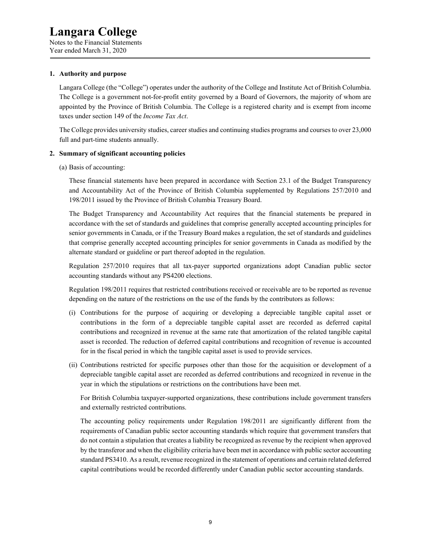Notes to the Financial Statements Year ended March 31, 2020

#### **1. Authority and purpose**

Langara College (the "College") operates under the authority of the College and Institute Act of British Columbia. The College is a government not-for-profit entity governed by a Board of Governors, the majority of whom are appointed by the Province of British Columbia. The College is a registered charity and is exempt from income taxes under section 149 of the *Income Tax Act*.

The College provides university studies, career studies and continuing studies programs and courses to over 23,000 full and part-time students annually.

#### **2. Summary of significant accounting policies**

(a) Basis of accounting:

These financial statements have been prepared in accordance with Section 23.1 of the Budget Transparency and Accountability Act of the Province of British Columbia supplemented by Regulations 257/2010 and 198/2011 issued by the Province of British Columbia Treasury Board.

The Budget Transparency and Accountability Act requires that the financial statements be prepared in accordance with the set of standards and guidelines that comprise generally accepted accounting principles for senior governments in Canada, or if the Treasury Board makes a regulation, the set of standards and guidelines that comprise generally accepted accounting principles for senior governments in Canada as modified by the alternate standard or guideline or part thereof adopted in the regulation.

Regulation 257/2010 requires that all tax-payer supported organizations adopt Canadian public sector accounting standards without any PS4200 elections.

Regulation 198/2011 requires that restricted contributions received or receivable are to be reported as revenue depending on the nature of the restrictions on the use of the funds by the contributors as follows:

- (i) Contributions for the purpose of acquiring or developing a depreciable tangible capital asset or contributions in the form of a depreciable tangible capital asset are recorded as deferred capital contributions and recognized in revenue at the same rate that amortization of the related tangible capital asset is recorded. The reduction of deferred capital contributions and recognition of revenue is accounted for in the fiscal period in which the tangible capital asset is used to provide services.
- (ii) Contributions restricted for specific purposes other than those for the acquisition or development of a depreciable tangible capital asset are recorded as deferred contributions and recognized in revenue in the year in which the stipulations or restrictions on the contributions have been met.

For British Columbia taxpayer-supported organizations, these contributions include government transfers and externally restricted contributions.

The accounting policy requirements under Regulation 198/2011 are significantly different from the requirements of Canadian public sector accounting standards which require that government transfers that do not contain a stipulation that creates a liability be recognized as revenue by the recipient when approved by the transferor and when the eligibility criteria have been met in accordance with public sector accounting standard PS3410. As a result, revenue recognized in the statement of operations and certain related deferred capital contributions would be recorded differently under Canadian public sector accounting standards.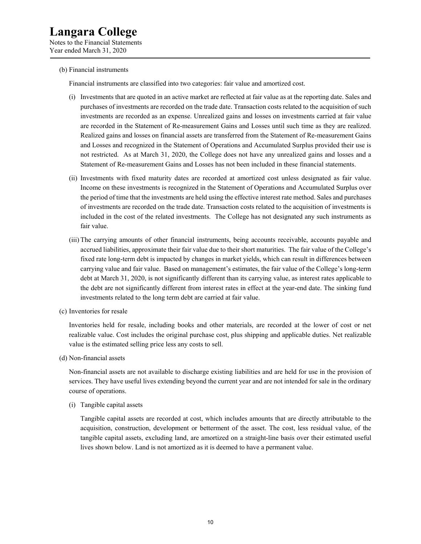Notes to the Financial Statements Year ended March 31, 2020

#### (b) Financial instruments

Financial instruments are classified into two categories: fair value and amortized cost.

- (i) Investments that are quoted in an active market are reflected at fair value as at the reporting date. Sales and purchases of investments are recorded on the trade date. Transaction costs related to the acquisition of such investments are recorded as an expense. Unrealized gains and losses on investments carried at fair value are recorded in the Statement of Re-measurement Gains and Losses until such time as they are realized. Realized gains and losses on financial assets are transferred from the Statement of Re-measurement Gains and Losses and recognized in the Statement of Operations and Accumulated Surplus provided their use is not restricted. As at March 31, 2020, the College does not have any unrealized gains and losses and a Statement of Re-measurement Gains and Losses has not been included in these financial statements.
- (ii) Investments with fixed maturity dates are recorded at amortized cost unless designated as fair value. Income on these investments is recognized in the Statement of Operations and Accumulated Surplus over the period of time that the investments are held using the effective interest rate method. Sales and purchases of investments are recorded on the trade date. Transaction costs related to the acquisition of investments is included in the cost of the related investments. The College has not designated any such instruments as fair value.
- (iii) The carrying amounts of other financial instruments, being accounts receivable, accounts payable and accrued liabilities, approximate their fair value due to their short maturities. The fair value of the College's fixed rate long-term debt is impacted by changes in market yields, which can result in differences between carrying value and fair value. Based on management's estimates, the fair value of the College's long-term debt at March 31, 2020, is not significantly different than its carrying value, as interest rates applicable to the debt are not significantly different from interest rates in effect at the year-end date. The sinking fund investments related to the long term debt are carried at fair value.
- (c) Inventories for resale

Inventories held for resale, including books and other materials, are recorded at the lower of cost or net realizable value. Cost includes the original purchase cost, plus shipping and applicable duties. Net realizable value is the estimated selling price less any costs to sell.

(d) Non-financial assets

Non-financial assets are not available to discharge existing liabilities and are held for use in the provision of services. They have useful lives extending beyond the current year and are not intended for sale in the ordinary course of operations.

(i) Tangible capital assets

Tangible capital assets are recorded at cost, which includes amounts that are directly attributable to the acquisition, construction, development or betterment of the asset. The cost, less residual value, of the tangible capital assets, excluding land, are amortized on a straight-line basis over their estimated useful lives shown below. Land is not amortized as it is deemed to have a permanent value.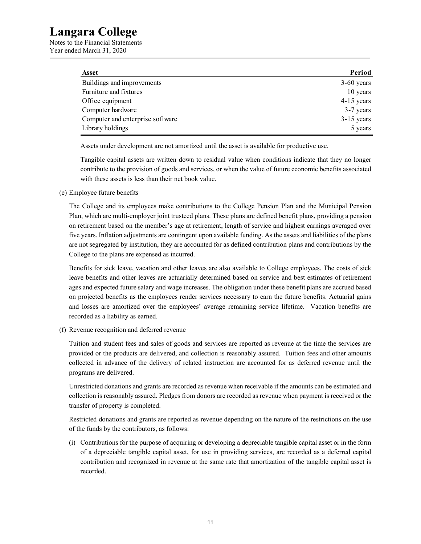Notes to the Financial Statements Year ended March 31, 2020

| <b>Asset</b>                     | Period       |
|----------------------------------|--------------|
| Buildings and improvements       | $3-60$ years |
| Furniture and fixtures           | 10 years     |
| Office equipment                 | $4-15$ years |
| Computer hardware                | $3-7$ years  |
| Computer and enterprise software | $3-15$ years |
| Library holdings                 | 5 years      |

Assets under development are not amortized until the asset is available for productive use.

Tangible capital assets are written down to residual value when conditions indicate that they no longer contribute to the provision of goods and services, or when the value of future economic benefits associated with these assets is less than their net book value.

(e) Employee future benefits

The College and its employees make contributions to the College Pension Plan and the Municipal Pension Plan, which are multi-employer joint trusteed plans. These plans are defined benefit plans, providing a pension on retirement based on the member's age at retirement, length of service and highest earnings averaged over five years. Inflation adjustments are contingent upon available funding. As the assets and liabilities of the plans are not segregated by institution, they are accounted for as defined contribution plans and contributions by the College to the plans are expensed as incurred.

Benefits for sick leave, vacation and other leaves are also available to College employees. The costs of sick leave benefits and other leaves are actuarially determined based on service and best estimates of retirement ages and expected future salary and wage increases. The obligation under these benefit plans are accrued based on projected benefits as the employees render services necessary to earn the future benefits. Actuarial gains and losses are amortized over the employees' average remaining service lifetime. Vacation benefits are recorded as a liability as earned.

(f) Revenue recognition and deferred revenue

Tuition and student fees and sales of goods and services are reported as revenue at the time the services are provided or the products are delivered, and collection is reasonably assured. Tuition fees and other amounts collected in advance of the delivery of related instruction are accounted for as deferred revenue until the programs are delivered.

Unrestricted donations and grants are recorded as revenue when receivable if the amounts can be estimated and collection is reasonably assured. Pledges from donors are recorded as revenue when payment is received or the transfer of property is completed.

Restricted donations and grants are reported as revenue depending on the nature of the restrictions on the use of the funds by the contributors, as follows:

(i) Contributions for the purpose of acquiring or developing a depreciable tangible capital asset or in the form of a depreciable tangible capital asset, for use in providing services, are recorded as a deferred capital contribution and recognized in revenue at the same rate that amortization of the tangible capital asset is recorded.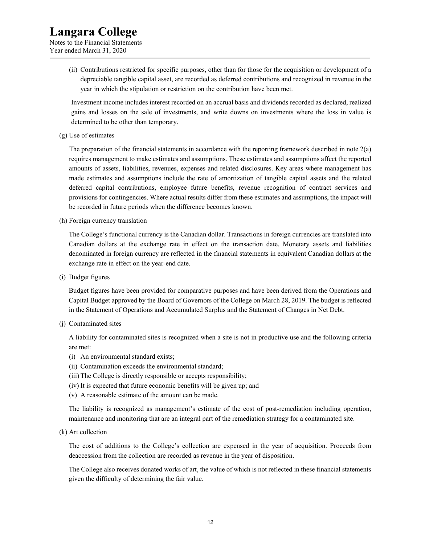Notes to the Financial Statements Year ended March 31, 2020

> (ii) Contributions restricted for specific purposes, other than for those for the acquisition or development of a depreciable tangible capital asset, are recorded as deferred contributions and recognized in revenue in the year in which the stipulation or restriction on the contribution have been met.

> Investment income includes interest recorded on an accrual basis and dividends recorded as declared, realized gains and losses on the sale of investments, and write downs on investments where the loss in value is determined to be other than temporary.

(g) Use of estimates

The preparation of the financial statements in accordance with the reporting framework described in note 2(a) requires management to make estimates and assumptions. These estimates and assumptions affect the reported amounts of assets, liabilities, revenues, expenses and related disclosures. Key areas where management has made estimates and assumptions include the rate of amortization of tangible capital assets and the related deferred capital contributions, employee future benefits, revenue recognition of contract services and provisions for contingencies. Where actual results differ from these estimates and assumptions, the impact will be recorded in future periods when the difference becomes known.

(h) Foreign currency translation

The College's functional currency is the Canadian dollar. Transactions in foreign currencies are translated into Canadian dollars at the exchange rate in effect on the transaction date. Monetary assets and liabilities denominated in foreign currency are reflected in the financial statements in equivalent Canadian dollars at the exchange rate in effect on the year-end date.

(i) Budget figures

Budget figures have been provided for comparative purposes and have been derived from the Operations and Capital Budget approved by the Board of Governors of the College on March 28, 2019. The budget is reflected in the Statement of Operations and Accumulated Surplus and the Statement of Changes in Net Debt.

(j) Contaminated sites

A liability for contaminated sites is recognized when a site is not in productive use and the following criteria are met:

- (i) An environmental standard exists;
- (ii) Contamination exceeds the environmental standard;
- (iii) The College is directly responsible or accepts responsibility;
- (iv) It is expected that future economic benefits will be given up; and
- (v) A reasonable estimate of the amount can be made.

The liability is recognized as management's estimate of the cost of post-remediation including operation, maintenance and monitoring that are an integral part of the remediation strategy for a contaminated site.

(k) Art collection

The cost of additions to the College's collection are expensed in the year of acquisition. Proceeds from deaccession from the collection are recorded as revenue in the year of disposition.

The College also receives donated works of art, the value of which is not reflected in these financial statements given the difficulty of determining the fair value.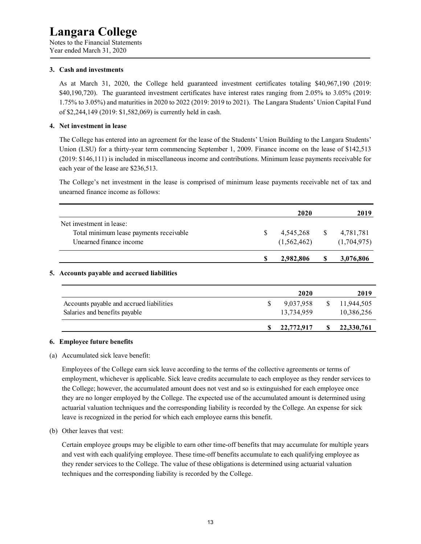Notes to the Financial Statements Year ended March 31, 2020

#### **3. Cash and investments**

As at March 31, 2020, the College held guaranteed investment certificates totaling \$40,967,190 (2019: \$40,190,720). The guaranteed investment certificates have interest rates ranging from 2.05% to 3.05% (2019: 1.75% to 3.05%) and maturities in 2020 to 2022 (2019: 2019 to 2021). The Langara Students' Union Capital Fund of \$2,244,149 (2019: \$1,582,069) is currently held in cash.

#### **4. Net investment in lease**

The College has entered into an agreement for the lease of the Students' Union Building to the Langara Students' Union (LSU) for a thirty-year term commencing September 1, 2009. Finance income on the lease of \$142,513 (2019: \$146,111) is included in miscellaneous income and contributions. Minimum lease payments receivable for each year of the lease are \$236,513.

The College's net investment in the lease is comprised of minimum lease payments receivable net of tax and unearned finance income as follows:

|                                                                                                |   | 2019                           |  |                          |
|------------------------------------------------------------------------------------------------|---|--------------------------------|--|--------------------------|
| Net investment in lease:<br>Total minimum lease payments receivable<br>Unearned finance income | S | 4,545,268<br>S.<br>(1,562,462) |  | 4,781,781<br>(1,704,975) |
| .                                                                                              |   | 2,982,806                      |  | 3,076,806                |

#### **5. Accounts payable and accrued liabilities**

|                                                                           | 2020                    | 2019                     |
|---------------------------------------------------------------------------|-------------------------|--------------------------|
| Accounts payable and accrued liabilities<br>Salaries and benefits payable | 9,037,958<br>13,734,959 | 11,944,505<br>10,386,256 |
|                                                                           | 22,772,917              | 22,330,761               |

#### **6. Employee future benefits**

#### (a) Accumulated sick leave benefit:

Employees of the College earn sick leave according to the terms of the collective agreements or terms of employment, whichever is applicable. Sick leave credits accumulate to each employee as they render services to the College; however, the accumulated amount does not vest and so is extinguished for each employee once they are no longer employed by the College. The expected use of the accumulated amount is determined using actuarial valuation techniques and the corresponding liability is recorded by the College. An expense for sick leave is recognized in the period for which each employee earns this benefit.

#### (b) Other leaves that vest:

Certain employee groups may be eligible to earn other time-off benefits that may accumulate for multiple years and vest with each qualifying employee. These time-off benefits accumulate to each qualifying employee as they render services to the College. The value of these obligations is determined using actuarial valuation techniques and the corresponding liability is recorded by the College.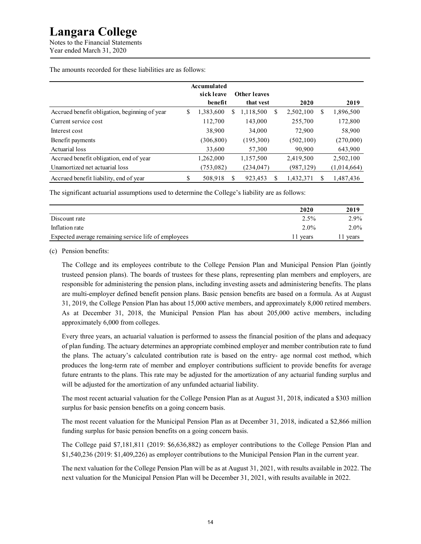Notes to the Financial Statements Year ended March 31, 2020

The amounts recorded for these liabilities are as follows:

|                                               |   | <b>Accumulated</b> |   |                     |    |            |   |             |
|-----------------------------------------------|---|--------------------|---|---------------------|----|------------|---|-------------|
|                                               |   | sick leave         |   | <b>Other leaves</b> |    |            |   |             |
|                                               |   | benefit            |   | that yest           |    | 2020       |   | 2019        |
| Accrued benefit obligation, beginning of year | S | 1,383,600          | S | 1,118,500           | \$ | 2,502,100  | S | 1,896,500   |
| Current service cost                          |   | 112,700            |   | 143,000             |    | 255,700    |   | 172,800     |
| Interest cost                                 |   | 38,900             |   | 34,000              |    | 72,900     |   | 58,900      |
| Benefit payments                              |   | (306, 800)         |   | (195,300)           |    | (502, 100) |   | (270,000)   |
| Actuarial loss                                |   | 33,600             |   | 57,300              |    | 90,900     |   | 643,900     |
| Accrued benefit obligation, end of year       |   | 1,262,000          |   | 1,157,500           |    | 2,419,500  |   | 2,502,100   |
| Unamortized net actuarial loss                |   | (753,082)          |   | (234, 047)          |    | (987, 129) |   | (1,014,664) |
| Accrued benefit liability, end of year        | S | 508,918            |   | 923.453             | S  | 1,432,371  | S | 1,487,436   |

The significant actuarial assumptions used to determine the College's liability are as follows:

|                                                      | 2020     | 2019    |
|------------------------------------------------------|----------|---------|
| Discount rate                                        | $2.5\%$  | 2.9%    |
| Inflation rate                                       | $2.0\%$  | $2.0\%$ |
| Expected average remaining service life of employees | 11 vears | vears   |

(c) Pension benefits:

The College and its employees contribute to the College Pension Plan and Municipal Pension Plan (jointly trusteed pension plans). The boards of trustees for these plans, representing plan members and employers, are responsible for administering the pension plans, including investing assets and administering benefits. The plans are multi-employer defined benefit pension plans. Basic pension benefits are based on a formula. As at August 31, 2019, the College Pension Plan has about 15,000 active members, and approximately 8,000 retired members. As at December 31, 2018, the Municipal Pension Plan has about 205,000 active members, including approximately 6,000 from colleges.

Every three years, an actuarial valuation is performed to assess the financial position of the plans and adequacy of plan funding. The actuary determines an appropriate combined employer and member contribution rate to fund the plans. The actuary's calculated contribution rate is based on the entry- age normal cost method, which produces the long-term rate of member and employer contributions sufficient to provide benefits for average future entrants to the plans. This rate may be adjusted for the amortization of any actuarial funding surplus and will be adjusted for the amortization of any unfunded actuarial liability.

The most recent actuarial valuation for the College Pension Plan as at August 31, 2018, indicated a \$303 million surplus for basic pension benefits on a going concern basis.

The most recent valuation for the Municipal Pension Plan as at December 31, 2018, indicated a \$2,866 million funding surplus for basic pension benefits on a going concern basis.

The College paid \$7,181,811 (2019: \$6,636,882) as employer contributions to the College Pension Plan and \$1,540,236 (2019: \$1,409,226) as employer contributions to the Municipal Pension Plan in the current year.

The next valuation for the College Pension Plan will be as at August 31, 2021, with results available in 2022. The next valuation for the Municipal Pension Plan will be December 31, 2021, with results available in 2022.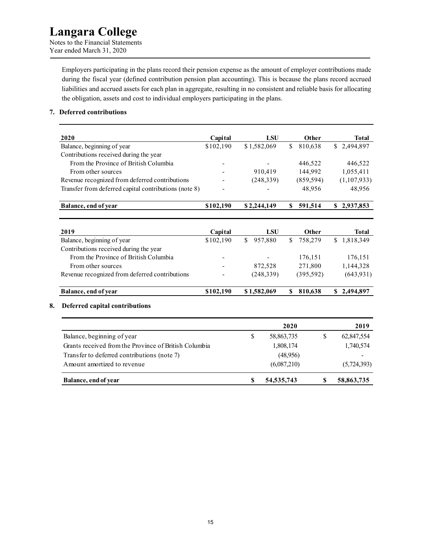### **Langara College**  Notes to the Financial Statements

Year ended March 31, 2020

Employers participating in the plans record their pension expense as the amount of employer contributions made during the fiscal year (defined contribution pension plan accounting). This is because the plans record accrued liabilities and accrued assets for each plan in aggregate, resulting in no consistent and reliable basis for allocating the obligation, assets and cost to individual employers participating in the plans.

#### **7. Deferred contributions**

| 2020                                                  | Capital   | LSU         | Other         | Total       |
|-------------------------------------------------------|-----------|-------------|---------------|-------------|
| Balance, beginning of year                            | \$102,190 | \$1,582,069 | 810,638<br>S. | \$2,494,897 |
| Contributions received during the year                |           |             |               |             |
| From the Province of British Columbia                 |           |             | 446.522       | 446,522     |
| From other sources                                    |           | 910.419     | 144,992       | 1,055,411   |
| Revenue recognized from deferred contributions        |           | (248, 339)  | (859, 594)    | (1,107,933) |
| Transfer from deferred capital contributions (note 8) |           |             | 48.956        | 48.956      |
| Balance, end of year                                  | \$102,190 | \$2,244,149 | 591,514       | 2,937,853   |

| 2019                                           | Capital   | LSU           | Other         | Total       |
|------------------------------------------------|-----------|---------------|---------------|-------------|
| Balance, beginning of year                     | \$102,190 | 957,880<br>S. | 758,279<br>S. | \$1,818,349 |
| Contributions received during the year         |           |               |               |             |
| From the Province of British Columbia          |           | -             | 176,151       | 176,151     |
| From other sources                             |           | 872,528       | 271,800       | 1,144,328   |
| Revenue recognized from deferred contributions |           | (248, 339)    | (395, 592)    | (643, 931)  |
|                                                |           |               |               |             |
| Balance, end of year                           | \$102,190 | \$1,582,069   | 810.638       | \$2.494.897 |

#### **8. Deferred capital contributions**

|                                                       |   | 2020         | 2019        |
|-------------------------------------------------------|---|--------------|-------------|
| Balance, beginning of year                            | S | 58,863,735   | 62,847,554  |
| Grants received from the Province of British Columbia |   | 1,808,174    | 1,740,574   |
| Transfer to deferred contributions (note 7)           |   | (48,956)     |             |
| A mount amortized to revenue                          |   | (6,087,210)  | (5,724,393) |
| Balance, end of year                                  |   | 54, 535, 743 | 58,863,735  |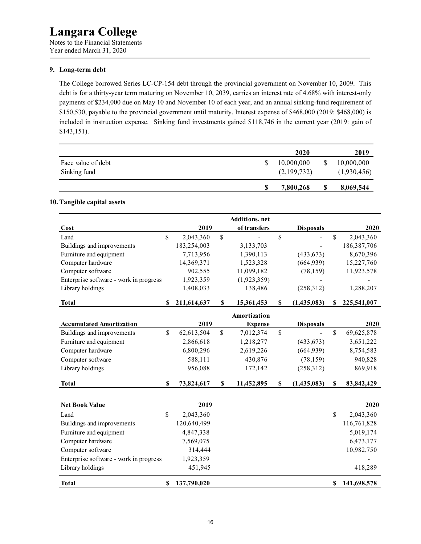Notes to the Financial Statements Year ended March 31, 2020

#### **9. Long-term debt**

The College borrowed Series LC-CP-154 debt through the provincial government on November 10, 2009. This debt is for a thirty-year term maturing on November 10, 2039, carries an interest rate of 4.68% with interest-only payments of \$234,000 due on May 10 and November 10 of each year, and an annual sinking-fund requirement of \$150,530, payable to the provincial government until maturity. Interest expense of \$468,000 (2019: \$468,000) is included in instruction expense. Sinking fund investments gained \$118,746 in the current year (2019: gain of \$143,151).

|                                    | 2020                      | 2019                      |
|------------------------------------|---------------------------|---------------------------|
| Face value of debt<br>Sinking fund | 10,000,000<br>(2,199,732) | 10,000,000<br>(1,930,456) |
|                                    | 7,800,268                 | 8,069,544                 |

#### **10. Tangible capital assets**

|                                        |              |             | Additions, net   |                   |    |               |
|----------------------------------------|--------------|-------------|------------------|-------------------|----|---------------|
| Cost                                   |              | 2019        | of transfers     | <b>Disposals</b>  |    | 2020          |
| Land                                   | $\mathbb{S}$ | 2,043,360   | \$               | \$                | \$ | 2,043,360     |
| Buildings and improvements             |              | 183,254,003 | 3,133,703        |                   |    | 186, 387, 706 |
| Furniture and equipment                |              | 7,713,956   | 1,390,113        | (433, 673)        |    | 8,670,396     |
| Computer hardware                      |              | 14,369,371  | 1,523,328        | (664, 939)        |    | 15,227,760    |
| Computer software                      |              | 902,555     | 11,099,182       | (78, 159)         |    | 11,923,578    |
| Enterprise software - work in progress |              | 1,923,359   | (1,923,359)      |                   |    |               |
| Library holdings                       |              | 1,408,033   | 138,486          | (258,312)         |    | 1,288,207     |
| <b>Total</b>                           | \$           | 211,614,637 | \$<br>15,361,453 | \$<br>(1,435,083) | \$ | 225,541,007   |
|                                        |              |             | Amortization     |                   |    |               |
| <b>Accumulated Amortization</b>        |              | 2019        | <b>Expense</b>   | <b>Disposals</b>  |    | 2020          |
| Buildings and improvements             | \$           | 62,613,504  | \$<br>7,012,374  | \$                | \$ | 69,625,878    |
| Furniture and equipment                |              | 2,866,618   | 1,218,277        | (433, 673)        |    | 3,651,222     |
| Computer hardware                      |              | 6,800,296   | 2,619,226        | (664, 939)        |    | 8,754,583     |
| Computer software                      |              | 588,111     | 430,876          | (78, 159)         |    | 940,828       |
| Library holdings                       |              | 956,088     | 172,142          | (258,312)         |    | 869,918       |
| <b>Total</b>                           | \$           | 73,824,617  | \$<br>11,452,895 | \$<br>(1,435,083) | \$ | 83, 842, 429  |
| <b>Net Book Value</b>                  |              | 2019        |                  |                   |    | 2020          |
| Land                                   | \$           | 2,043,360   |                  |                   | \$ | 2,043,360     |
| Buildings and improvements             |              | 120,640,499 |                  |                   |    | 116,761,828   |
| Furniture and equipment                |              | 4,847,338   |                  |                   |    | 5,019,174     |
| Computer hardware                      |              | 7,569,075   |                  |                   |    | 6,473,177     |
| Computer software                      |              | 314,444     |                  |                   |    | 10,982,750    |
| Enterprise software - work in progress |              | 1,923,359   |                  |                   |    |               |
| Library holdings                       |              | 451,945     |                  |                   |    | 418,289       |
| <b>Total</b>                           | \$           | 137,790,020 |                  |                   | S  | 141,698,578   |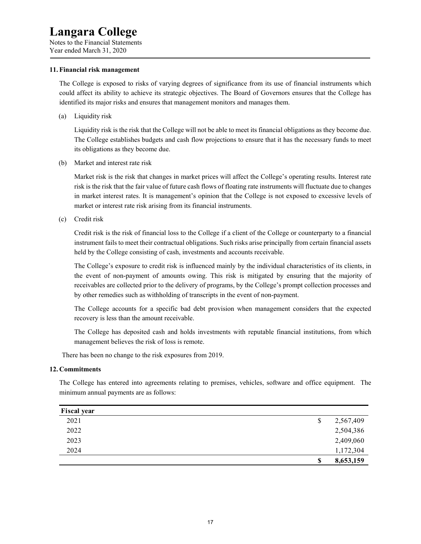Notes to the Financial Statements Year ended March 31, 2020

#### **11. Financial risk management**

The College is exposed to risks of varying degrees of significance from its use of financial instruments which could affect its ability to achieve its strategic objectives. The Board of Governors ensures that the College has identified its major risks and ensures that management monitors and manages them.

(a) Liquidity risk

Liquidity risk is the risk that the College will not be able to meet its financial obligations as they become due. The College establishes budgets and cash flow projections to ensure that it has the necessary funds to meet its obligations as they become due.

(b) Market and interest rate risk

Market risk is the risk that changes in market prices will affect the College's operating results. Interest rate risk is the risk that the fair value of future cash flows of floating rate instruments will fluctuate due to changes in market interest rates. It is management's opinion that the College is not exposed to excessive levels of market or interest rate risk arising from its financial instruments.

(c) Credit risk

Credit risk is the risk of financial loss to the College if a client of the College or counterparty to a financial instrument fails to meet their contractual obligations. Such risks arise principally from certain financial assets held by the College consisting of cash, investments and accounts receivable.

The College's exposure to credit risk is influenced mainly by the individual characteristics of its clients, in the event of non-payment of amounts owing. This risk is mitigated by ensuring that the majority of receivables are collected prior to the delivery of programs, by the College's prompt collection processes and by other remedies such as withholding of transcripts in the event of non-payment.

The College accounts for a specific bad debt provision when management considers that the expected recovery is less than the amount receivable.

The College has deposited cash and holds investments with reputable financial institutions, from which management believes the risk of loss is remote.

There has been no change to the risk exposures from 2019.

#### **12. Commitments**

The College has entered into agreements relating to premises, vehicles, software and office equipment. The minimum annual payments are as follows:

| <b>Fiscal year</b> |    |           |
|--------------------|----|-----------|
| 2021               | \$ | 2,567,409 |
| 2022               |    | 2,504,386 |
| 2023               |    | 2,409,060 |
| 2024               |    | 1,172,304 |
|                    | S  | 8,653,159 |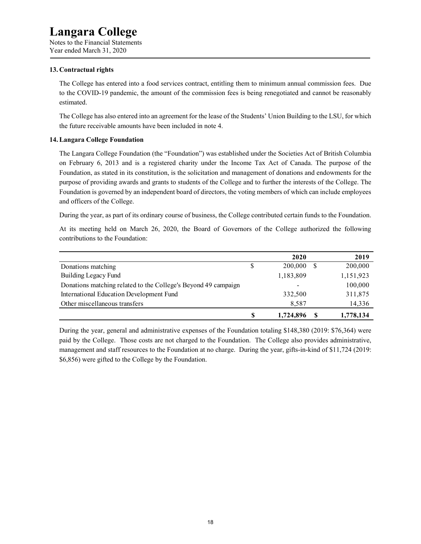Notes to the Financial Statements Year ended March 31, 2020

#### **13. Contractual rights**

The College has entered into a food services contract, entitling them to minimum annual commission fees. Due to the COVID-19 pandemic, the amount of the commission fees is being renegotiated and cannot be reasonably estimated.

The College has also entered into an agreement for the lease of the Students' Union Building to the LSU, for which the future receivable amounts have been included in note 4.

#### **14. Langara College Foundation**

The Langara College Foundation (the "Foundation") was established under the Societies Act of British Columbia on February 6, 2013 and is a registered charity under the Income Tax Act of Canada. The purpose of the Foundation, as stated in its constitution, is the solicitation and management of donations and endowments for the purpose of providing awards and grants to students of the College and to further the interests of the College. The Foundation is governed by an independent board of directors, the voting members of which can include employees and officers of the College.

During the year, as part of its ordinary course of business, the College contributed certain funds to the Foundation.

At its meeting held on March 26, 2020, the Board of Governors of the College authorized the following contributions to the Foundation:

|                                                                |   | 2020      | 2019      |
|----------------------------------------------------------------|---|-----------|-----------|
| Donations matching                                             | S | 200,000   | 200,000   |
| Building Legacy Fund                                           |   | 1,183,809 | 1,151,923 |
| Donations matching related to the College's Beyond 49 campaign |   | ۰         | 100,000   |
| International Education Development Fund                       |   | 332,500   | 311,875   |
| Other miscellaneous transfers                                  |   | 8.587     | 14,336    |
|                                                                | S | 1,724,896 | 1,778,134 |

During the year, general and administrative expenses of the Foundation totaling \$148,380 (2019: \$76,364) were paid by the College. Those costs are not charged to the Foundation. The College also provides administrative, management and staff resources to the Foundation at no charge. During the year, gifts-in-kind of \$11,724 (2019: \$6,856) were gifted to the College by the Foundation.